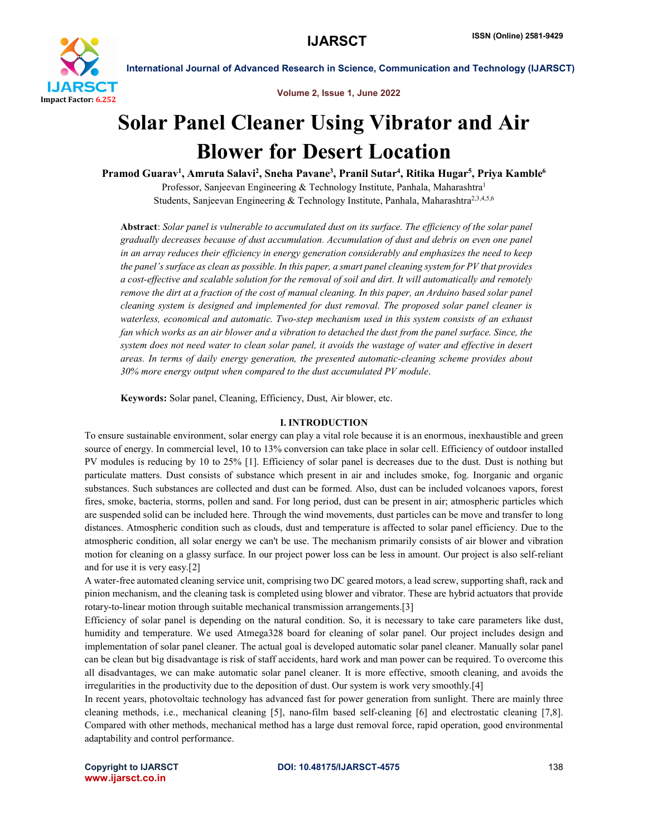

Volume 2, Issue 1, June 2022

## Solar Panel Cleaner Using Vibrator and Air Blower for Desert Location

Pramod Guarav<sup>1</sup>, Amruta Salavi<sup>2</sup>, Sneha Pavane<sup>3</sup>, Pranil Sutar<sup>4</sup>, Ritika Hugar<sup>5</sup>, Priya Kamble<sup>6</sup> Professor, Sanjeevan Engineering & Technology Institute, Panhala, Maharashtra<sup>1</sup> Students, Sanjeevan Engineering & Technology Institute, Panhala, Maharashtra<sup>2,3,4,5,6</sup>

Abstract: *Solar panel is vulnerable to accumulated dust on its surface. The efficiency of the solar panel gradually decreases because of dust accumulation. Accumulation of dust and debris on even one panel in an array reduces their efficiency in energy generation considerably and emphasizes the need to keep* the panel's surface as clean as possible. In this paper, a smart panel cleaning system for PV that provides a cost-effective and scalable solution for the removal of soil and dirt. It will automatically and remotely *remove the dirt at a fraction of the cost of manual cleaning. In this paper, an Arduino based solar panel cleaning system is designed and implemented for dust removal. The proposed solar panel cleaner is waterless, economical and automatic. Two-step mechanism used in this system consists of an exhaust fan which works as an air blower and a vibration to detached the dust from the panel surface. Since, the system does not need water to clean solar panel, it avoids the wastage of water and effective in desert areas. In terms of daily energy generation, the presented automatic-cleaning scheme provides about 30% more energy output when compared to the dust accumulated PV module*.

Keywords: Solar panel, Cleaning, Efficiency, Dust, Air blower, etc.

#### I. INTRODUCTION

To ensure sustainable environment, solar energy can play a vital role because it is an enormous, inexhaustible and green source of energy. In commercial level, 10 to 13% conversion can take place in solar cell. Efficiency of outdoor installed PV modules is reducing by 10 to 25% [1]. Efficiency of solar panel is decreases due to the dust. Dust is nothing but particulate matters. Dust consists of substance which present in air and includes smoke, fog. Inorganic and organic substances. Such substances are collected and dust can be formed. Also, dust can be included volcanoes vapors, forest fires, smoke, bacteria, storms, pollen and sand. For long period, dust can be present in air; atmospheric particles which are suspended solid can be included here. Through the wind movements, dust particles can be move and transfer to long distances. Atmospheric condition such as clouds, dust and temperature is affected to solar panel efficiency. Due to the atmospheric condition, all solar energy we can't be use. The mechanism primarily consists of air blower and vibration motion for cleaning on a glassy surface. In our project power loss can be less in amount. Our project is also self-reliant and for use it is very easy.[2]

A water-free automated cleaning service unit, comprising two DC geared motors, a lead screw, supporting shaft, rack and pinion mechanism, and the cleaning task is completed using blower and vibrator. These are hybrid actuators that provide rotary-to-linear motion through suitable mechanical transmission arrangements.[3]

Efficiency of solar panel is depending on the natural condition. So, it is necessary to take care parameters like dust, humidity and temperature. We used Atmega328 board for cleaning of solar panel. Our project includes design and implementation of solar panel cleaner. The actual goal is developed automatic solar panel cleaner. Manually solar panel can be clean but big disadvantage is risk of staff accidents, hard work and man power can be required. To overcome this all disadvantages, we can make automatic solar panel cleaner. It is more effective, smooth cleaning, and avoids the irregularities in the productivity due to the deposition of dust. Our system is work very smoothly.[4]

In recent years, photovoltaic technology has advanced fast for power generation from sunlight. There are mainly three cleaning methods, i.e., mechanical cleaning [5], nano-film based self-cleaning [6] and electrostatic cleaning [7,8]. Compared with other methods, mechanical method has a large dust removal force, rapid operation, good environmental adaptability and control performance.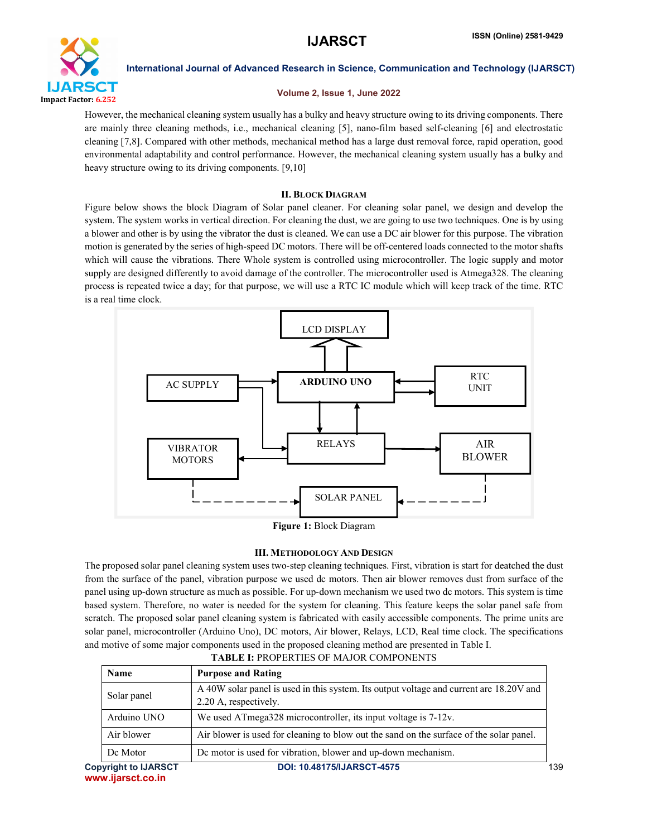

#### Volume 2, Issue 1, June 2022

However, the mechanical cleaning system usually has a bulky and heavy structure owing to its driving components. There are mainly three cleaning methods, i.e., mechanical cleaning [5], nano-film based self-cleaning [6] and electrostatic cleaning [7,8]. Compared with other methods, mechanical method has a large dust removal force, rapid operation, good environmental adaptability and control performance. However, the mechanical cleaning system usually has a bulky and heavy structure owing to its driving components. [9,10]

## II. BLOCK DIAGRAM

Figure below shows the block Diagram of Solar panel cleaner. For cleaning solar panel, we design and develop the system. The system works in vertical direction. For cleaning the dust, we are going to use two techniques. One is by using a blower and other is by using the vibrator the dust is cleaned. We can use a DC air blower for this purpose. The vibration motion is generated by the series of high-speed DC motors. There will be off-centered loads connected to the motor shafts which will cause the vibrations. There Whole system is controlled using microcontroller. The logic supply and motor supply are designed differently to avoid damage of the controller. The microcontroller used is Atmega328. The cleaning process is repeated twice a day; for that purpose, we will use a RTC IC module which will keep track of the time. RTC is a real time clock.



Figure 1: Block Diagram

## III. METHODOLOGY AND DESIGN

The proposed solar panel cleaning system uses two-step cleaning techniques. First, vibration is start for deatched the dust from the surface of the panel, vibration purpose we used dc motors. Then air blower removes dust from surface of the panel using up-down structure as much as possible. For up-down mechanism we used two dc motors. This system is time based system. Therefore, no water is needed for the system for cleaning. This feature keeps the solar panel safe from scratch. The proposed solar panel cleaning system is fabricated with easily accessible components. The prime units are solar panel, microcontroller (Arduino Uno), DC motors, Air blower, Relays, LCD, Real time clock. The specifications and motive of some major components used in the proposed cleaning method are presented in Table I.

| <b>Name</b>                 | <b>Purpose and Rating</b>                                                               |     |
|-----------------------------|-----------------------------------------------------------------------------------------|-----|
| Solar panel                 | A 40W solar panel is used in this system. Its output voltage and current are 18.20V and |     |
|                             | 2.20 A, respectively.                                                                   |     |
| Arduino UNO                 | We used ATmega328 microcontroller, its input voltage is 7-12v.                          |     |
| Air blower                  | Air blower is used for cleaning to blow out the sand on the surface of the solar panel. |     |
| De Motor                    | De motor is used for vibration, blower and up-down mechanism.                           |     |
| <b>Copyright to IJARSCT</b> | <b>DOI: 10.48175/IJARSCT-4575</b>                                                       | 139 |

## TABLE I: PROPERTIES OF MAJOR COMPONENTS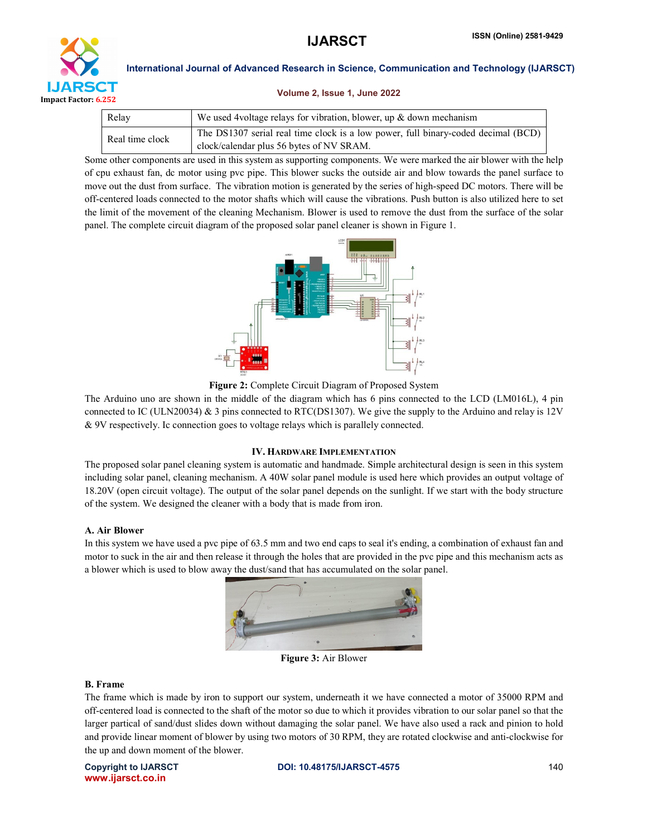

#### Volume 2, Issue 1, June 2022

| Relay           | We used 4 voltage relays for vibration, blower, up $\&$ down mechanism            |  |  |  |  |
|-----------------|-----------------------------------------------------------------------------------|--|--|--|--|
| Real time clock | The DS1307 serial real time clock is a low power, full binary-coded decimal (BCD) |  |  |  |  |
|                 | clock/calendar plus 56 bytes of NV SRAM.                                          |  |  |  |  |

Some other components are used in this system as supporting components. We were marked the air blower with the help of cpu exhaust fan, dc motor using pvc pipe. This blower sucks the outside air and blow towards the panel surface to move out the dust from surface. The vibration motion is generated by the series of high-speed DC motors. There will be off-centered loads connected to the motor shafts which will cause the vibrations. Push button is also utilized here to set the limit of the movement of the cleaning Mechanism. Blower is used to remove the dust from the surface of the solar panel. The complete circuit diagram of the proposed solar panel cleaner is shown in Figure 1.



Figure 2: Complete Circuit Diagram of Proposed System

The Arduino uno are shown in the middle of the diagram which has 6 pins connected to the LCD (LM016L), 4 pin connected to IC (ULN20034) & 3 pins connected to RTC(DS1307). We give the supply to the Arduino and relay is 12V & 9V respectively. Ic connection goes to voltage relays which is parallely connected.

#### IV. HARDWARE IMPLEMENTATION

The proposed solar panel cleaning system is automatic and handmade. Simple architectural design is seen in this system including solar panel, cleaning mechanism. A 40W solar panel module is used here which provides an output voltage of 18.20V (open circuit voltage). The output of the solar panel depends on the sunlight. If we start with the body structure of the system. We designed the cleaner with a body that is made from iron.

#### A. Air Blower

In this system we have used a pvc pipe of 63.5 mm and two end caps to seal it's ending, a combination of exhaust fan and motor to suck in the air and then release it through the holes that are provided in the pvc pipe and this mechanism acts as a blower which is used to blow away the dust/sand that has accumulated on the solar panel.



Figure 3: Air Blower

## B. Frame

The frame which is made by iron to support our system, underneath it we have connected a motor of 35000 RPM and off-centered load is connected to the shaft of the motor so due to which it provides vibration to our solar panel so that the larger partical of sand/dust slides down without damaging the solar panel. We have also used a rack and pinion to hold and provide linear moment of blower by using two motors of 30 RPM, they are rotated clockwise and anti-clockwise for the up and down moment of the blower.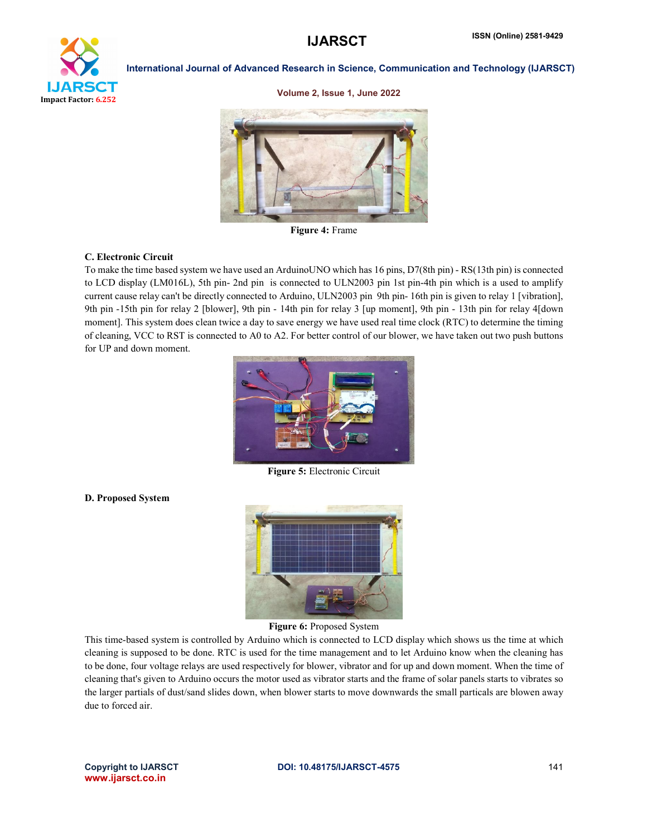# ear

Impact Factor: 6.252

International Journal of Advanced Research in Science, Communication and Technology (IJARSCT)

#### Volume 2, Issue 1, June 2022



Figure 4: Frame

#### C. Electronic Circuit

To make the time based system we have used an ArduinoUNO which has 16 pins, D7(8th pin) - RS(13th pin) is connected to LCD display (LM016L), 5th pin- 2nd pin is connected to ULN2003 pin 1st pin-4th pin which is a used to amplify current cause relay can't be directly connected to Arduino, ULN2003 pin 9th pin- 16th pin is given to relay 1 [vibration], 9th pin -15th pin for relay 2 [blower], 9th pin - 14th pin for relay 3 [up moment], 9th pin - 13th pin for relay 4[down moment]. This system does clean twice a day to save energy we have used real time clock (RTC) to determine the timing of cleaning, VCC to RST is connected to A0 to A2. For better control of our blower, we have taken out two push buttons for UP and down moment.



Figure 5: Electronic Circuit

#### D. Proposed System



Figure 6: Proposed System

This time-based system is controlled by Arduino which is connected to LCD display which shows us the time at which cleaning is supposed to be done. RTC is used for the time management and to let Arduino know when the cleaning has to be done, four voltage relays are used respectively for blower, vibrator and for up and down moment. When the time of cleaning that's given to Arduino occurs the motor used as vibrator starts and the frame of solar panels starts to vibrates so the larger partials of dust/sand slides down, when blower starts to move downwards the small particals are blowen away due to forced air.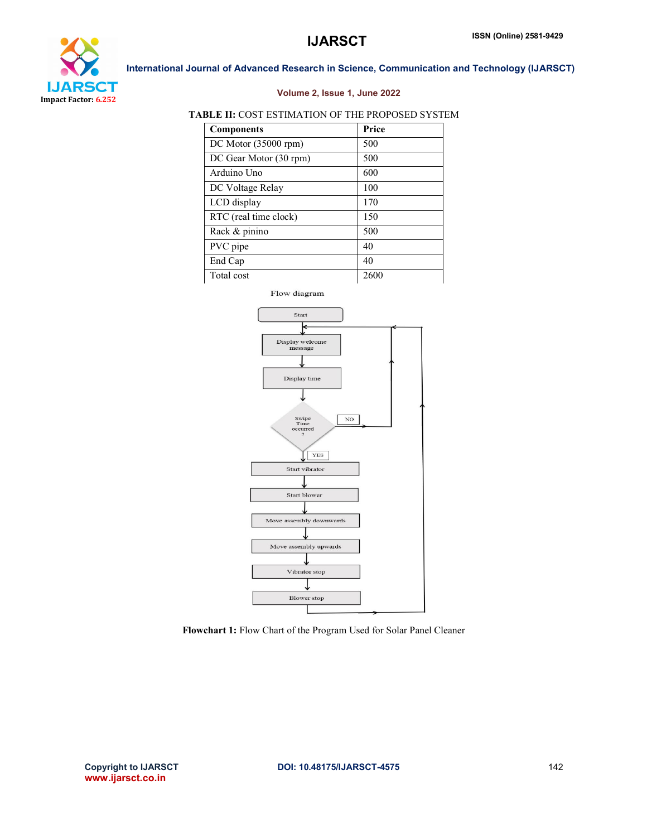

### Volume 2, Issue 1, June 2022

### TABLE II: COST ESTIMATION OF THE PROPOSED SYSTEM

| <b>Components</b>      | Price |
|------------------------|-------|
| $DC$ Motor (35000 rpm) | 500   |
| DC Gear Motor (30 rpm) | 500   |
| Arduino Uno            | 600   |
| DC Voltage Relay       | 100   |
| LCD display            | 170   |
| RTC (real time clock)  | 150   |
| Rack & pinino          | 500   |
| PVC pipe               | 40    |
| End Cap                | 40    |
| Total cost             | 2600  |



Flowchart 1: Flow Chart of the Program Used for Solar Panel Cleaner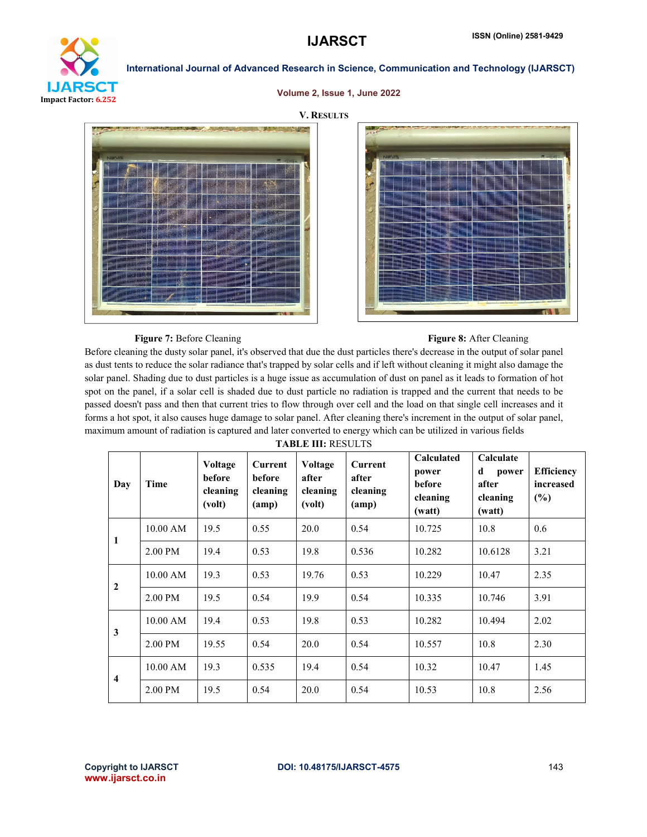

#### Volume 2, Issue 1, June 2022





#### Figure 7: Before Cleaning Figure 8: After Cleaning Figure 8: After Cleaning

Before cleaning the dusty solar panel, it's observed that due the dust particles there's decrease in the output of solar panel as dust tents to reduce the solar radiance that's trapped by solar cells and if left without cleaning it might also damage the solar panel. Shading due to dust particles is a huge issue as accumulation of dust on panel as it leads to formation of hot spot on the panel, if a solar cell is shaded due to dust particle no radiation is trapped and the current that needs to be passed doesn't pass and then that current tries to flow through over cell and the load on that single cell increases and it forms a hot spot, it also causes huge damage to solar panel. After cleaning there's increment in the output of solar panel, maximum amount of radiation is captured and later converted to energy which can be utilized in various fields

TABLE III: RESULTS

| Day                     | Time       | <b>Voltage</b><br>before<br>cleaning<br>(volt) | <b>Current</b><br>before<br>cleaning<br>(am) | Voltage<br>after<br>cleaning<br>(volt) | <b>Current</b><br>after<br>cleaning<br>(am) | <b>Calculated</b><br>power<br>before<br>cleaning<br>(watt) | Calculate<br>d<br>power<br>after<br>cleaning<br>(watt) | <b>Efficiency</b><br>increased<br>(%) |
|-------------------------|------------|------------------------------------------------|----------------------------------------------|----------------------------------------|---------------------------------------------|------------------------------------------------------------|--------------------------------------------------------|---------------------------------------|
| 1                       | 10.00 AM   | 19.5                                           | 0.55                                         | 20.0                                   | 0.54                                        | 10.725                                                     | 10.8                                                   | 0.6                                   |
|                         | 2.00 PM    | 19.4                                           | 0.53                                         | 19.8                                   | 0.536                                       | 10.282                                                     | 10.6128                                                | 3.21                                  |
| $\overline{2}$          | $10.00$ AM | 19.3                                           | 0.53                                         | 19.76                                  | 0.53                                        | 10.229                                                     | 10.47                                                  | 2.35                                  |
|                         | 2.00 PM    | 19.5                                           | 0.54                                         | 19.9                                   | 0.54                                        | 10.335                                                     | 10.746                                                 | 3.91                                  |
|                         | 10.00 AM   | 19.4                                           | 0.53                                         | 19.8                                   | 0.53                                        | 10.282                                                     | 10.494                                                 | 2.02                                  |
| 3                       | 2.00 PM    | 19.55                                          | 0.54                                         | 20.0                                   | 0.54                                        | 10.557                                                     | 10.8                                                   | 2.30                                  |
| $\overline{\mathbf{4}}$ | 10.00 AM   | 19.3                                           | 0.535                                        | 19.4                                   | 0.54                                        | 10.32                                                      | 10.47                                                  | 1.45                                  |
|                         | 2.00 PM    | 19.5                                           | 0.54                                         | 20.0                                   | 0.54                                        | 10.53                                                      | 10.8                                                   | 2.56                                  |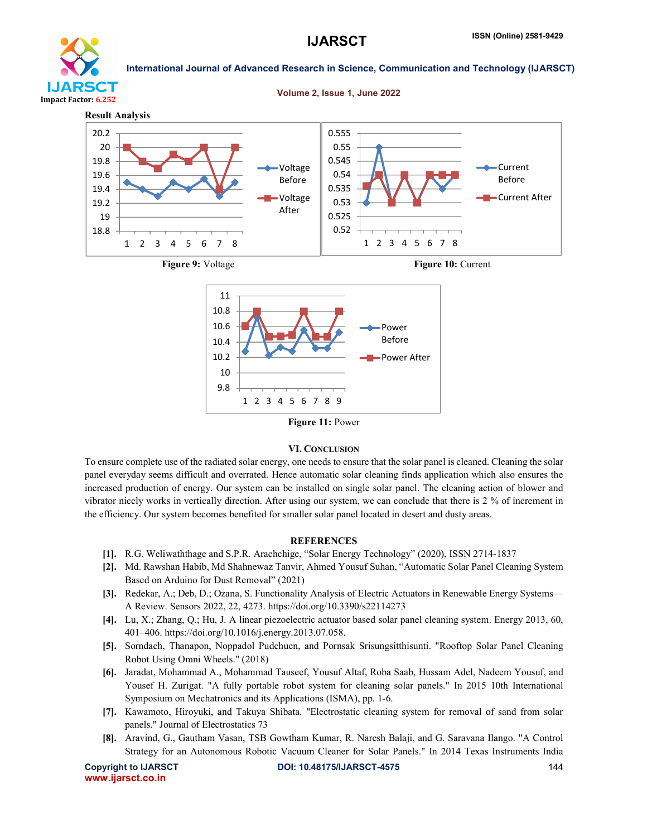

Volume 2, Issue 1, June 2022





#### VI. CONCLUSION

To ensure complete use of the radiated solar energy, one needs to ensure that the solar panel is cleaned. Cleaning the solar panel everyday seems difficult and overrated. Hence automatic solar cleaning finds application which also ensures the increased production of energy. Our system can be installed on single solar panel. The cleaning action of blower and vibrator nicely works in vertically direction. After using our system, we can conclude that there is 2 % of increment in the efficiency. Our system becomes benefited for smaller solar panel located in desert and dusty areas.

#### **REFERENCES**

- [1]. R.G. Weliwaththage and S.P.R. Arachchige, "Solar Energy Technology" (2020), ISSN 2714-1837
- [2]. Md. Rawshan Habib, Md Shahnewaz Tanvir, Ahmed Yousuf Suhan, "Automatic Solar Panel Cleaning System Based on Arduino for Dust Removal" (2021)
- [3]. Redekar, A.; Deb, D.; Ozana, S. Functionality Analysis of Electric Actuators in Renewable Energy Systems— A Review. Sensors 2022, 22, 4273. https://doi.org/10.3390/s22114273
- [4]. Lu, X.; Zhang, Q.; Hu, J. A linear piezoelectric actuator based solar panel cleaning system. Energy 2013, 60, 401–406. https://doi.org/10.1016/j.energy.2013.07.058.
- [5]. Sorndach, Thanapon, Noppadol Pudchuen, and Pornsak Srisungsitthisunti. "Rooftop Solar Panel Cleaning Robot Using Omni Wheels." (2018)
- [6]. Jaradat, Mohammad A., Mohammad Tauseef, Yousuf Altaf, Roba Saab, Hussam Adel, Nadeem Yousuf, and Yousef H. Zurigat. "A fully portable robot system for cleaning solar panels." In 2015 10th International Symposium on Mechatronics and its Applications (ISMA), pp. 1-6.
- [7]. Kawamoto, Hiroyuki, and Takuya Shibata. "Electrostatic cleaning system for removal of sand from solar panels." Journal of Electrostatics 73
- [8]. Aravind, G., Gautham Vasan, TSB Gowtham Kumar, R. Naresh Balaji, and G. Saravana Ilango. "A Control Strategy for an Autonomous Robotic Vacuum Cleaner for Solar Panels." In 2014 Texas Instruments India